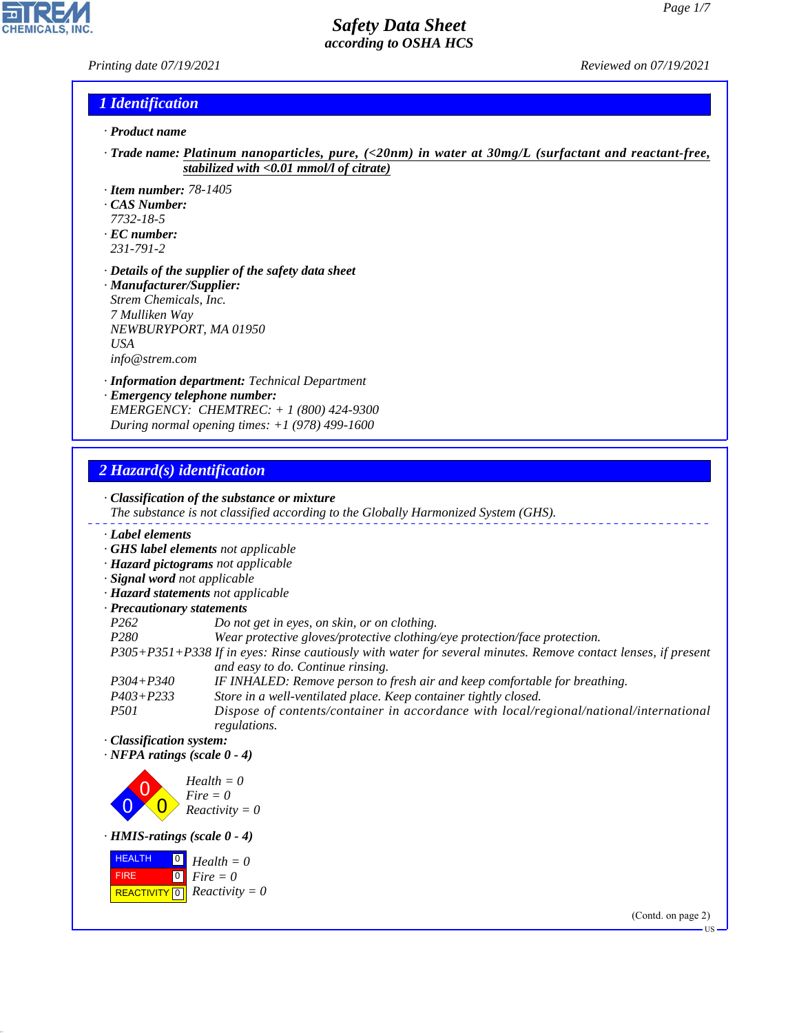#### *Printing date 07/19/2021 Reviewed on 07/19/2021*

**CHEMICALS.** 

#### *1 Identification*

- *· Product name*
- *· Trade name: Platinum nanoparticles, pure, (<20nm) in water at 30mg/L (surfactant and reactant-free, stabilized with <0.01 mmol/l of citrate)*
- *· Item number: 78-1405*
- *· CAS Number:*
- *7732-18-5*
- *· EC number: 231-791-2*
- *· Details of the supplier of the safety data sheet*
- *· Manufacturer/Supplier: Strem Chemicals, Inc. 7 Mulliken Way NEWBURYPORT, MA 01950 USA info@strem.com*
- *· Information department: Technical Department*
- *· Emergency telephone number: EMERGENCY: CHEMTREC: + 1 (800) 424-9300 During normal opening times: +1 (978) 499-1600*

### *2 Hazard(s) identification*

44.1.1



(Contd. on page 2)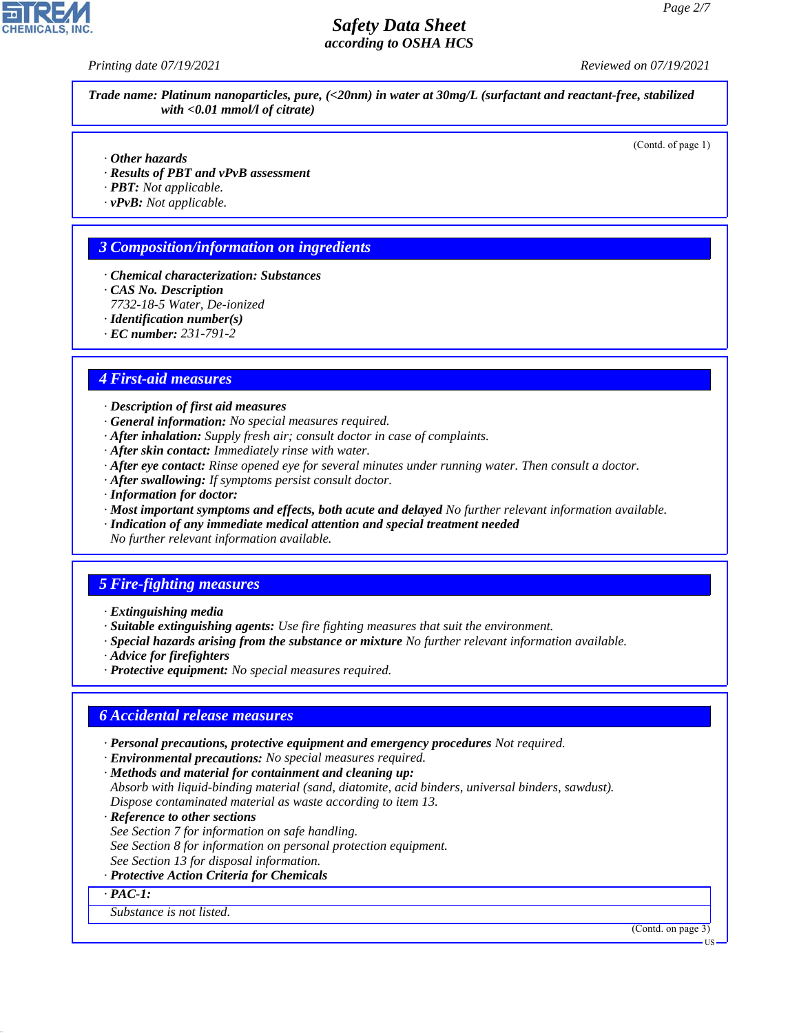*Printing date 07/19/2021 Reviewed on 07/19/2021*

*Trade name: Platinum nanoparticles, pure, (<20nm) in water at 30mg/L (surfactant and reactant-free, stabilized with <0.01 mmol/l of citrate)*

(Contd. of page 1)

- *· Other hazards*
- *· Results of PBT and vPvB assessment*
- *· PBT: Not applicable.*
- *· vPvB: Not applicable.*

### *3 Composition/information on ingredients*

- *· Chemical characterization: Substances*
- *· CAS No. Description*
- *7732-18-5 Water, De-ionized*
- *· Identification number(s)*
- *· EC number: 231-791-2*

### *4 First-aid measures*

- *· Description of first aid measures*
- *· General information: No special measures required.*
- *· After inhalation: Supply fresh air; consult doctor in case of complaints.*
- *· After skin contact: Immediately rinse with water.*
- *· After eye contact: Rinse opened eye for several minutes under running water. Then consult a doctor.*
- *· After swallowing: If symptoms persist consult doctor.*
- *· Information for doctor:*
- *· Most important symptoms and effects, both acute and delayed No further relevant information available.*
- *· Indication of any immediate medical attention and special treatment needed No further relevant information available.*

## *5 Fire-fighting measures*

- *· Extinguishing media*
- *· Suitable extinguishing agents: Use fire fighting measures that suit the environment.*
- *· Special hazards arising from the substance or mixture No further relevant information available.*
- *· Advice for firefighters*
- *· Protective equipment: No special measures required.*

#### *6 Accidental release measures*

- *· Personal precautions, protective equipment and emergency procedures Not required.*
- *· Environmental precautions: No special measures required.*
- *· Methods and material for containment and cleaning up:*
- *Absorb with liquid-binding material (sand, diatomite, acid binders, universal binders, sawdust). Dispose contaminated material as waste according to item 13.*
- *· Reference to other sections*
- *See Section 7 for information on safe handling.*
- *See Section 8 for information on personal protection equipment.*
- *See Section 13 for disposal information.*
- *· Protective Action Criteria for Chemicals*
- *· PAC-1:*

44.1.1

*Substance is not listed.*

(Contd. on page 3)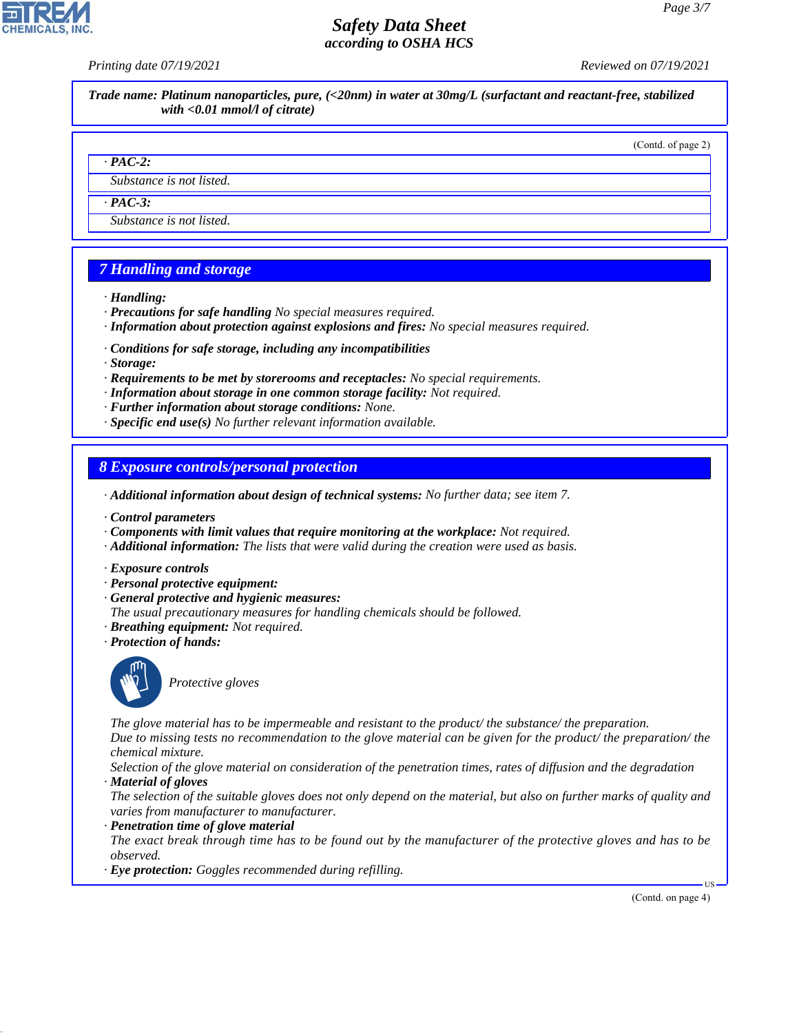*Printing date 07/19/2021 Reviewed on 07/19/2021*

*Trade name: Platinum nanoparticles, pure, (<20nm) in water at 30mg/L (surfactant and reactant-free, stabilized with <0.01 mmol/l of citrate)*

(Contd. of page 2)

#### *· PAC-2:*

*Substance is not listed.*

*· PAC-3:*

*Substance is not listed.*

## *7 Handling and storage*

- *· Handling:*
- *· Precautions for safe handling No special measures required.*
- *· Information about protection against explosions and fires: No special measures required.*
- *· Conditions for safe storage, including any incompatibilities*
- *· Storage:*
- *· Requirements to be met by storerooms and receptacles: No special requirements.*
- *· Information about storage in one common storage facility: Not required.*
- *· Further information about storage conditions: None.*
- *· Specific end use(s) No further relevant information available.*

*8 Exposure controls/personal protection*

*· Additional information about design of technical systems: No further data; see item 7.*

- *· Control parameters*
- *· Components with limit values that require monitoring at the workplace: Not required.*
- *· Additional information: The lists that were valid during the creation were used as basis.*
- *· Exposure controls*
- *· Personal protective equipment:*
- *· General protective and hygienic measures:*
- *The usual precautionary measures for handling chemicals should be followed.*
- *· Breathing equipment: Not required.*
- *· Protection of hands:*



44.1.1

\_S*Protective gloves*

*The glove material has to be impermeable and resistant to the product/ the substance/ the preparation.*

*Due to missing tests no recommendation to the glove material can be given for the product/ the preparation/ the chemical mixture.*

*Selection of the glove material on consideration of the penetration times, rates of diffusion and the degradation · Material of gloves*

*The selection of the suitable gloves does not only depend on the material, but also on further marks of quality and varies from manufacturer to manufacturer.*

*· Penetration time of glove material*

*The exact break through time has to be found out by the manufacturer of the protective gloves and has to be observed.*

*· Eye protection: Goggles recommended during refilling.*

(Contd. on page 4)

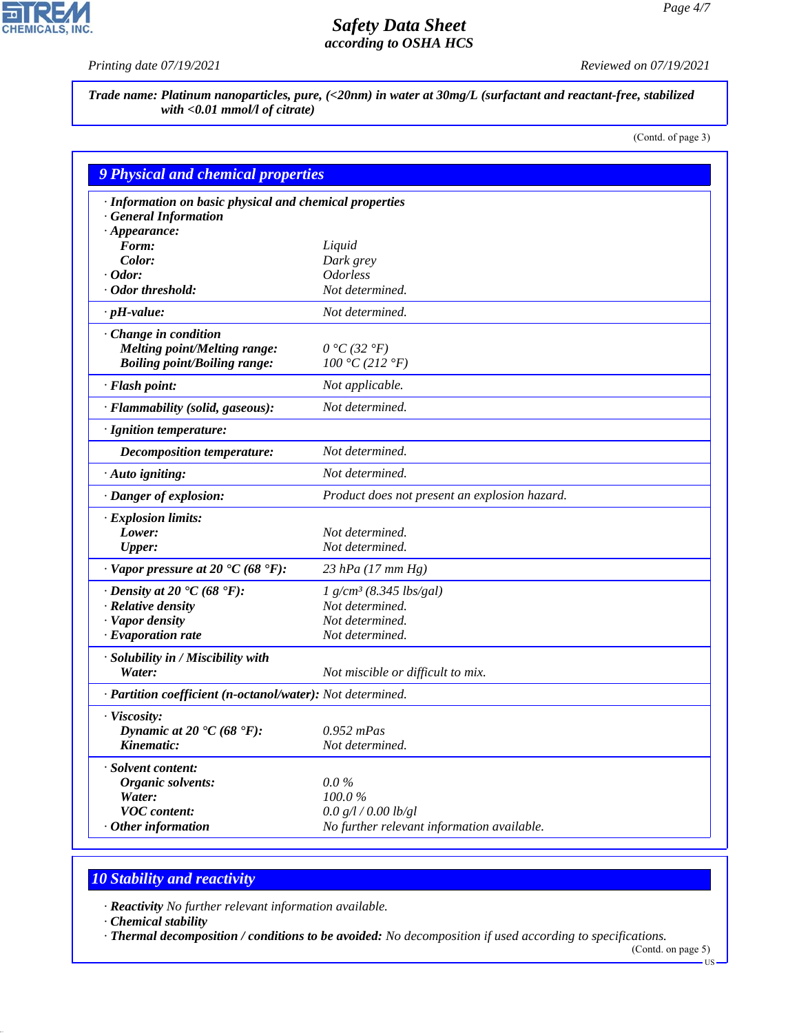P

**CHEMICALS, INC.** 

*Printing date 07/19/2021 Reviewed on 07/19/2021*

*Trade name: Platinum nanoparticles, pure, (<20nm) in water at 30mg/L (surfactant and reactant-free, stabilized with <0.01 mmol/l of citrate)*

(Contd. of page 3)

|                                                            | 9 Physical and chemical properties            |  |  |
|------------------------------------------------------------|-----------------------------------------------|--|--|
| · Information on basic physical and chemical properties    |                                               |  |  |
| · General Information                                      |                                               |  |  |
| $\cdot$ Appearance:                                        |                                               |  |  |
| Form:                                                      | Liquid                                        |  |  |
| Color:                                                     | Dark grey                                     |  |  |
| $\cdot$ Odor:                                              | <i><b>Odorless</b></i>                        |  |  |
| · Odor threshold:                                          | Not determined.                               |  |  |
| $\cdot$ pH-value:                                          | Not determined.                               |  |  |
| Change in condition                                        |                                               |  |  |
| Melting point/Melting range:                               | $0 °C$ (32 $°F$ )                             |  |  |
| <b>Boiling point/Boiling range:</b>                        | 100 °C (212 °F)                               |  |  |
| · Flash point:                                             | Not applicable.                               |  |  |
| · Flammability (solid, gaseous):                           | Not determined.                               |  |  |
| · Ignition temperature:                                    |                                               |  |  |
| <b>Decomposition temperature:</b>                          | Not determined.                               |  |  |
| · Auto igniting:                                           | Not determined.                               |  |  |
| · Danger of explosion:                                     | Product does not present an explosion hazard. |  |  |
| · Explosion limits:                                        |                                               |  |  |
| Lower:                                                     | Not determined.                               |  |  |
| <b>Upper:</b>                                              | Not determined.                               |  |  |
| $\cdot$ Vapor pressure at 20 °C (68 °F):                   | 23 hPa $(17 \text{ mm Hg})$                   |  |  |
| $\cdot$ Density at 20 $\cdot$ C (68 $\cdot$ F):            | $1 g/cm^3 (8.345 lbs/gal)$                    |  |  |
| · Relative density                                         | Not determined.                               |  |  |
| · Vapor density                                            | Not determined.                               |  |  |
| · Evaporation rate                                         | Not determined.                               |  |  |
| · Solubility in / Miscibility with                         |                                               |  |  |
| Water:                                                     | Not miscible or difficult to mix.             |  |  |
| · Partition coefficient (n-octanol/water): Not determined. |                                               |  |  |
| · Viscosity:                                               |                                               |  |  |
| Dynamic at 20 $\textdegree$ C (68 $\textdegree$ F):        | $0.952$ mPas                                  |  |  |
| Kinematic:                                                 | Not determined.                               |  |  |
| · Solvent content:                                         |                                               |  |  |
| <i><b>Organic solvents:</b></i>                            | $0.0\%$                                       |  |  |
| Water:                                                     | 100.0%                                        |  |  |
| <b>VOC</b> content:                                        | 0.0 g/l / 0.00 lb/gl                          |  |  |
| $\cdot$ Other information                                  | No further relevant information available.    |  |  |

## *10 Stability and reactivity*

*· Reactivity No further relevant information available.*

*· Chemical stability*

44.1.1

*· Thermal decomposition / conditions to be avoided: No decomposition if used according to specifications.*

(Contd. on page 5) US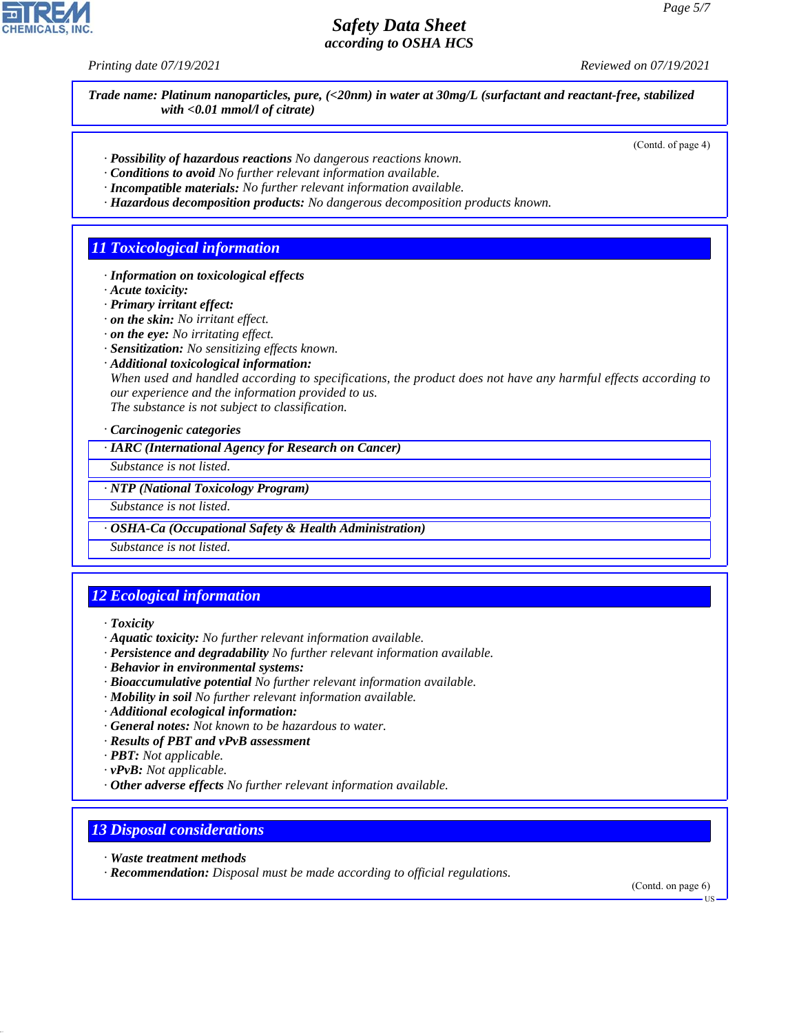*Printing date 07/19/2021 Reviewed on 07/19/2021*

*Trade name: Platinum nanoparticles, pure, (<20nm) in water at 30mg/L (surfactant and reactant-free, stabilized with <0.01 mmol/l of citrate)*

(Contd. of page 4)

- *· Possibility of hazardous reactions No dangerous reactions known.*
- *· Conditions to avoid No further relevant information available.*
- *· Incompatible materials: No further relevant information available.*
- *· Hazardous decomposition products: No dangerous decomposition products known.*

## *11 Toxicological information*

- *· Information on toxicological effects*
- *· Acute toxicity:*
- *· Primary irritant effect:*
- *· on the skin: No irritant effect.*
- *· on the eye: No irritating effect.*
- *· Sensitization: No sensitizing effects known.*
- *· Additional toxicological information:*

*When used and handled according to specifications, the product does not have any harmful effects according to our experience and the information provided to us. The substance is not subject to classification.*

*· Carcinogenic categories*

*· IARC (International Agency for Research on Cancer)*

*Substance is not listed.*

*· NTP (National Toxicology Program)*

*Substance is not listed.*

*· OSHA-Ca (Occupational Safety & Health Administration)*

*Substance is not listed.*

# *12 Ecological information*

*· Toxicity*

- *· Aquatic toxicity: No further relevant information available.*
- *· Persistence and degradability No further relevant information available.*
- *· Behavior in environmental systems:*
- *· Bioaccumulative potential No further relevant information available.*
- *· Mobility in soil No further relevant information available.*
- *· Additional ecological information:*
- *· General notes: Not known to be hazardous to water.*
- *· Results of PBT and vPvB assessment*
- *· PBT: Not applicable.*
- *· vPvB: Not applicable.*
- *· Other adverse effects No further relevant information available.*

## *13 Disposal considerations*

*· Waste treatment methods*

44.1.1

*· Recommendation: Disposal must be made according to official regulations.*

(Contd. on page 6)

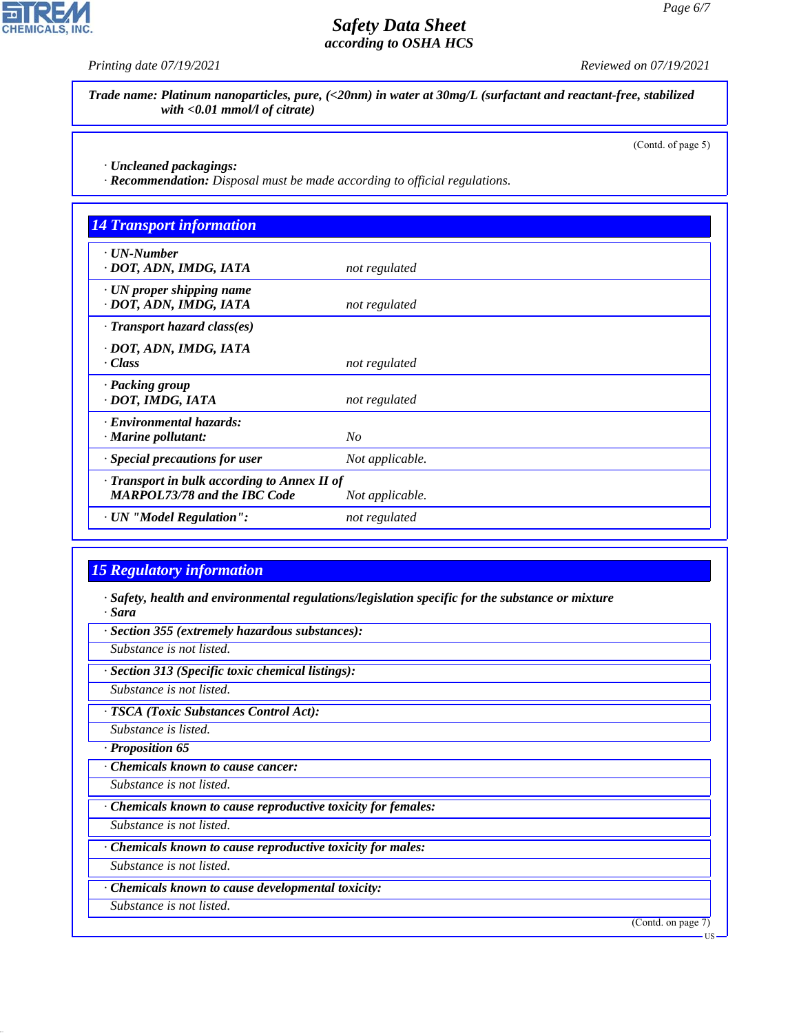**CHEMICALS, INC.** 

*Printing date 07/19/2021 Reviewed on 07/19/2021*

*Trade name: Platinum nanoparticles, pure, (<20nm) in water at 30mg/L (surfactant and reactant-free, stabilized with <0.01 mmol/l of citrate)*

(Contd. of page 5)

US

*· Uncleaned packagings:*

*· Recommendation: Disposal must be made according to official regulations.*

| <b>14 Transport information</b>                                                     |                 |
|-------------------------------------------------------------------------------------|-----------------|
| $\cdot$ UN-Number<br>· DOT, ADN, IMDG, IATA                                         | not regulated   |
| $\cdot$ UN proper shipping name<br>· DOT, ADN, IMDG, IATA                           | not regulated   |
| $\cdot$ Transport hazard class(es)                                                  |                 |
| · DOT, ADN, IMDG, IATA<br>· Class                                                   | not regulated   |
| · Packing group<br>· DOT, IMDG, IATA                                                | not regulated   |
| · Environmental hazards:<br>$\cdot$ Marine pollutant:                               | $N_{O}$         |
| · Special precautions for user                                                      | Not applicable. |
| · Transport in bulk according to Annex II of<br><b>MARPOL73/78 and the IBC Code</b> | Not applicable. |
| · UN "Model Regulation":                                                            | not regulated   |

## *15 Regulatory information*

44.1.1

*· Safety, health and environmental regulations/legislation specific for the substance or mixture · Sara*

*· Section 355 (extremely hazardous substances): Substance is not listed. · Section 313 (Specific toxic chemical listings): Substance is not listed. · TSCA (Toxic Substances Control Act): Substance is listed. · Proposition 65 · Chemicals known to cause cancer: Substance is not listed. · Chemicals known to cause reproductive toxicity for females: Substance is not listed. · Chemicals known to cause reproductive toxicity for males: Substance is not listed. · Chemicals known to cause developmental toxicity: Substance is not listed.* (Contd. on page 7)